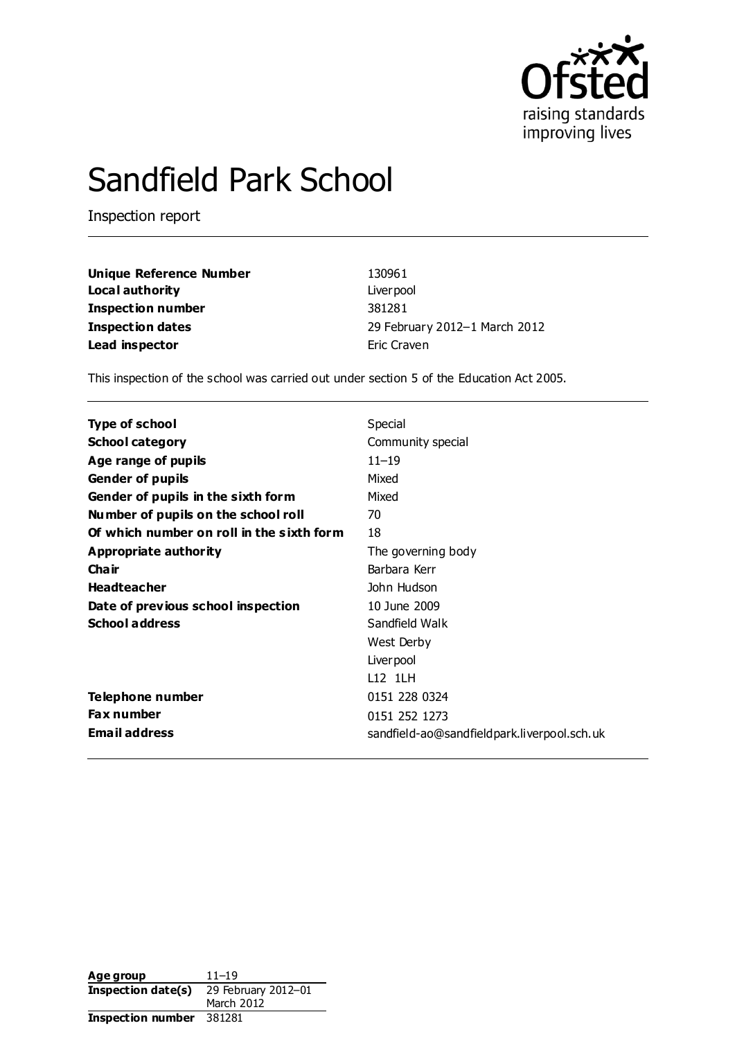

# Sandfield Park School

Inspection report

| Unique Reference Number | 130961                        |
|-------------------------|-------------------------------|
| Local authority         | Liver pool                    |
| Inspection number       | 381281                        |
| <b>Inspection dates</b> | 29 February 2012-1 March 2012 |
| Lead inspector          | Eric Craven                   |

This inspection of the school was carried out under section 5 of the Education Act 2005.

| <b>Type of school</b>                     | Special                                     |
|-------------------------------------------|---------------------------------------------|
| <b>School category</b>                    | Community special                           |
| Age range of pupils                       | $11 - 19$                                   |
| <b>Gender of pupils</b>                   | Mixed                                       |
| Gender of pupils in the sixth form        | Mixed                                       |
| Number of pupils on the school roll       | 70                                          |
| Of which number on roll in the sixth form | 18                                          |
| Appropriate authority                     | The governing body                          |
| Cha ir                                    | Barbara Kerr                                |
| <b>Headteacher</b>                        | John Hudson                                 |
| Date of previous school inspection        | 10 June 2009                                |
| <b>School address</b>                     | Sandfield Walk                              |
|                                           | West Derby                                  |
|                                           | Liver pool                                  |
|                                           | L12 1LH                                     |
| Telephone number                          | 0151 228 0324                               |
| <b>Fax number</b>                         | 0151 252 1273                               |
| <b>Email address</b>                      | sandfield-ao@sandfieldpark.liverpool.sch.uk |

| Age group                                 | $11 - 19$  |
|-------------------------------------------|------------|
| Inspection date(s)<br>29 February 2012-01 |            |
|                                           | March 2012 |
| <b>Inspection number</b>                  | 381281     |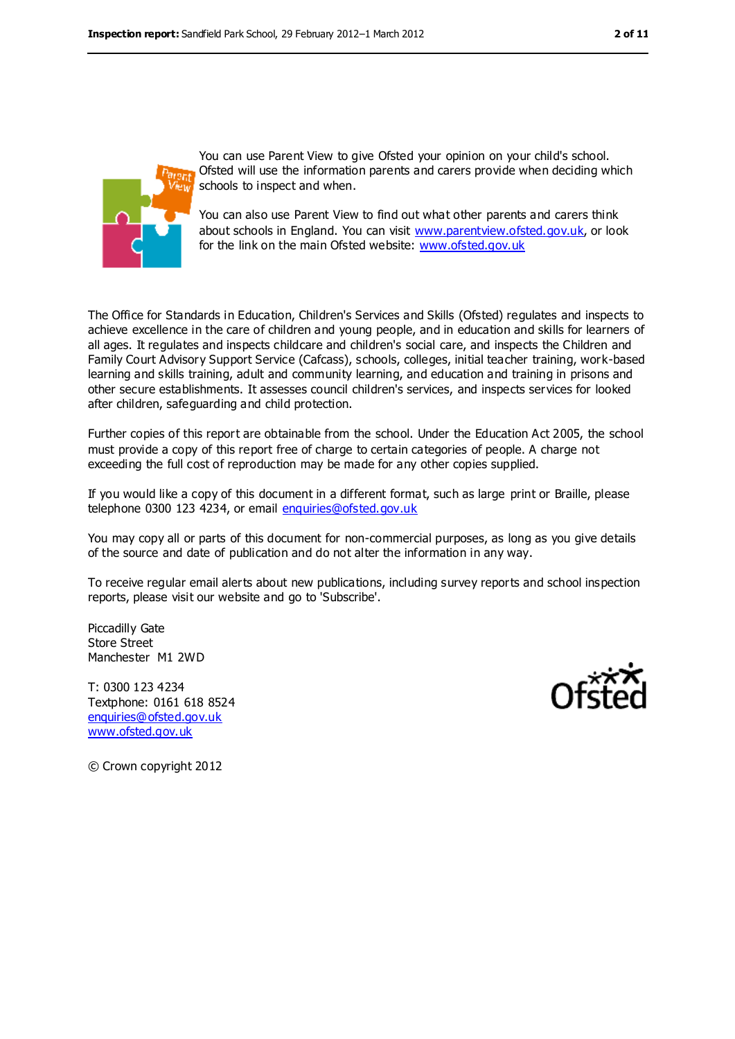

You can use Parent View to give Ofsted your opinion on your child's school. Ofsted will use the information parents and carers provide when deciding which schools to inspect and when.

You can also use Parent View to find out what other parents and carers think about schools in England. You can visit [www.parentview.ofsted.gov.uk,](file:///C:/Users/Jim%20Bennetts/Documents/CfBT/Spring%202012/Reading/Stanfield%20Park/www.parentview.ofsted.gov.uk) or look for the link on the main Ofsted website: [www.ofsted.gov.uk](file:///C:/Users/Jim%20Bennetts/Documents/CfBT/Spring%202012/Reading/Stanfield%20Park/www.ofsted.gov.uk)

The Office for Standards in Education, Children's Services and Skills (Ofsted) regulates and inspects to achieve excellence in the care of children and young people, and in education and skills for learners of all ages. It regulates and inspects childcare and children's social care, and inspects the Children and Family Court Advisory Support Service (Cafcass), schools, colleges, initial teacher training, work-based learning and skills training, adult and community learning, and education and training in prisons and other secure establishments. It assesses council children's services, and inspects services for looked after children, safeguarding and child protection.

Further copies of this report are obtainable from the school. Under the Education Act 2005, the school must provide a copy of this report free of charge to certain categories of people. A charge not exceeding the full cost of reproduction may be made for any other copies supplied.

If you would like a copy of this document in a different format, such as large print or Braille, please telephone 0300 123 4234, or email [enquiries@ofsted.gov.uk](mailto:enquiries@ofsted.gov.uk)

You may copy all or parts of this document for non-commercial purposes, as long as you give details of the source and date of publication and do not alter the information in any way.

To receive regular email alerts about new publications, including survey reports and school inspection reports, please visit our website and go to 'Subscribe'.

Piccadilly Gate Store Street Manchester M1 2WD

T: 0300 123 4234 Textphone: 0161 618 8524 [enquiries@ofsted.gov.uk](mailto:enquiries@ofsted.gov.uk) [www.ofsted.gov.uk](http://www.ofsted.gov.uk/)



© Crown copyright 2012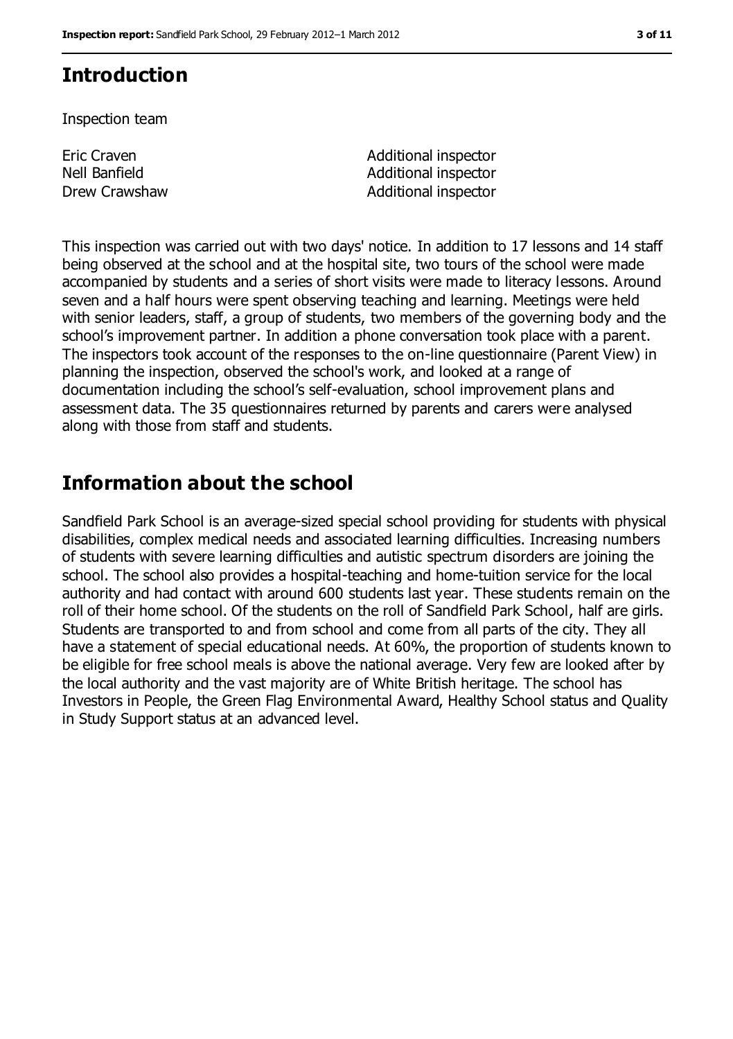# **Introduction**

Inspection team

Eric Craven Nell Banfield

Additional inspector Additional inspector Drew Crawshaw **Additional inspector** 

This inspection was carried out with two days' notice. In addition to 17 lessons and 14 staff being observed at the school and at the hospital site, two tours of the school were made accompanied by students and a series of short visits were made to literacy lessons. Around seven and a half hours were spent observing teaching and learning. Meetings were held with senior leaders, staff, a group of students, two members of the governing body and the school's improvement partner. In addition a phone conversation took place with a parent. The inspectors took account of the responses to the on-line questionnaire (Parent View) in planning the inspection, observed the school's work, and looked at a range of documentation including the school's self-evaluation, school improvement plans and assessment data. The 35 questionnaires returned by parents and carers were analysed along with those from staff and students.

## **Information about the school**

Sandfield Park School is an average-sized special school providing for students with physical disabilities, complex medical needs and associated learning difficulties. Increasing numbers of students with severe learning difficulties and autistic spectrum disorders are joining the school. The school also provides a hospital-teaching and home-tuition service for the local authority and had contact with around 600 students last year. These students remain on the roll of their home school. Of the students on the roll of Sandfield Park School, half are girls. Students are transported to and from school and come from all parts of the city. They all have a statement of special educational needs. At 60%, the proportion of students known to be eligible for free school meals is above the national average. Very few are looked after by the local authority and the vast majority are of White British heritage. The school has Investors in People, the Green Flag Environmental Award, Healthy School status and Quality in Study Support status at an advanced level.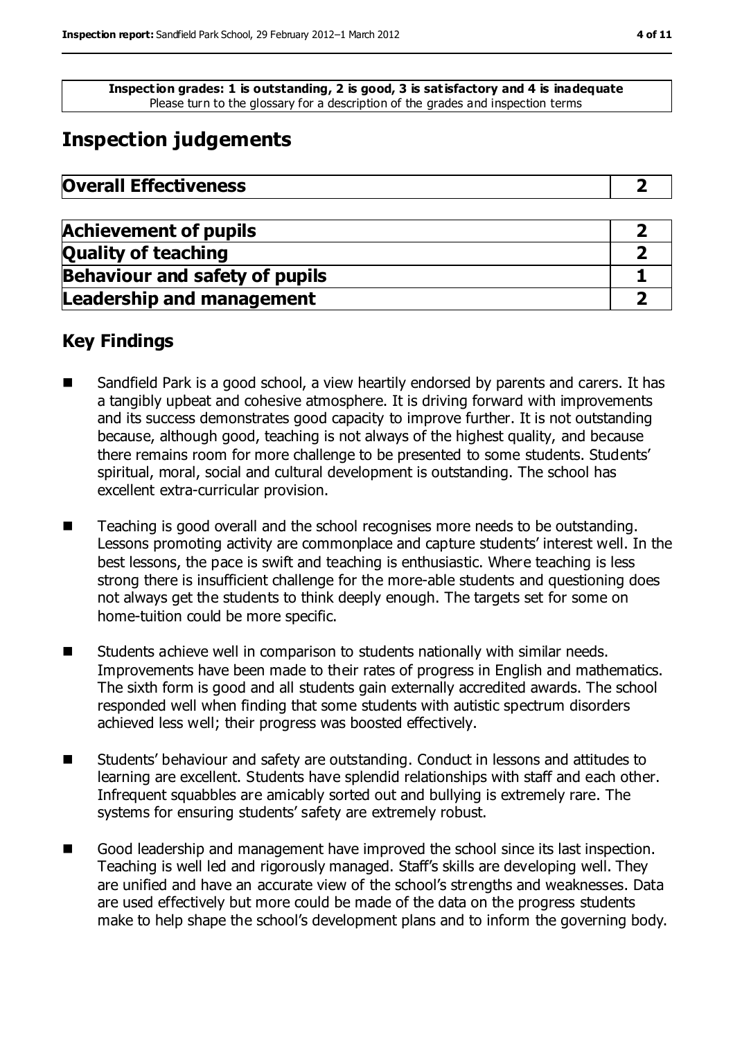**Inspection grades: 1 is outstanding, 2 is good, 3 is satisfactory and 4 is inadequate** Please turn to the glossary for a description of the grades and inspection terms

## **Inspection judgements**

| <b>Overall Effectiveness</b> |  |
|------------------------------|--|
|------------------------------|--|

| <b>Achievement of pupils</b>          |  |
|---------------------------------------|--|
| <b>Quality of teaching</b>            |  |
| <b>Behaviour and safety of pupils</b> |  |
| <b>Leadership and management</b>      |  |

## **Key Findings**

- Sandfield Park is a good school, a view heartily endorsed by parents and carers. It has a tangibly upbeat and cohesive atmosphere. It is driving forward with improvements and its success demonstrates good capacity to improve further. It is not outstanding because, although good, teaching is not always of the highest quality, and because there remains room for more challenge to be presented to some students. Students' spiritual, moral, social and cultural development is outstanding. The school has excellent extra-curricular provision.
- Teaching is good overall and the school recognises more needs to be outstanding. Lessons promoting activity are commonplace and capture students' interest well. In the best lessons, the pace is swift and teaching is enthusiastic. Where teaching is less strong there is insufficient challenge for the more-able students and questioning does not always get the students to think deeply enough. The targets set for some on home-tuition could be more specific.
- **Students achieve well in comparison to students nationally with similar needs.** Improvements have been made to their rates of progress in English and mathematics. The sixth form is good and all students gain externally accredited awards. The school responded well when finding that some students with autistic spectrum disorders achieved less well; their progress was boosted effectively.
- Students' behaviour and safety are outstanding. Conduct in lessons and attitudes to learning are excellent. Students have splendid relationships with staff and each other. Infrequent squabbles are amicably sorted out and bullying is extremely rare. The systems for ensuring students' safety are extremely robust.
- Good leadership and management have improved the school since its last inspection. Teaching is well led and rigorously managed. Staff's skills are developing well. They are unified and have an accurate view of the school's strengths and weaknesses. Data are used effectively but more could be made of the data on the progress students make to help shape the school's development plans and to inform the governing body.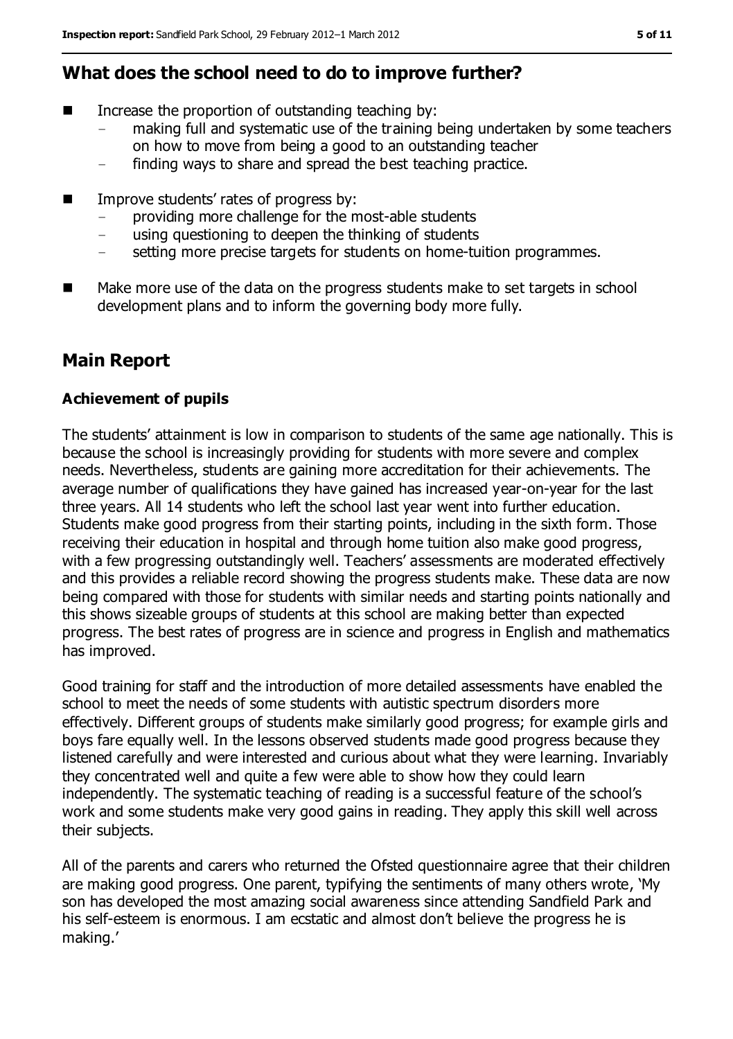## **What does the school need to do to improve further?**

- Increase the proportion of outstanding teaching by:
	- making full and systematic use of the training being undertaken by some teachers on how to move from being a good to an outstanding teacher
	- finding ways to share and spread the best teaching practice.
- Improve students' rates of progress by:
	- providing more challenge for the most-able students
	- using questioning to deepen the thinking of students
	- setting more precise targets for students on home-tuition programmes.
- Make more use of the data on the progress students make to set targets in school development plans and to inform the governing body more fully.

## **Main Report**

#### **Achievement of pupils**

The students' attainment is low in comparison to students of the same age nationally. This is because the school is increasingly providing for students with more severe and complex needs. Nevertheless, students are gaining more accreditation for their achievements. The average number of qualifications they have gained has increased year-on-year for the last three years. All 14 students who left the school last year went into further education. Students make good progress from their starting points, including in the sixth form. Those receiving their education in hospital and through home tuition also make good progress, with a few progressing outstandingly well. Teachers' assessments are moderated effectively and this provides a reliable record showing the progress students make. These data are now being compared with those for students with similar needs and starting points nationally and this shows sizeable groups of students at this school are making better than expected progress. The best rates of progress are in science and progress in English and mathematics has improved.

Good training for staff and the introduction of more detailed assessments have enabled the school to meet the needs of some students with autistic spectrum disorders more effectively. Different groups of students make similarly good progress; for example girls and boys fare equally well. In the lessons observed students made good progress because they listened carefully and were interested and curious about what they were learning. Invariably they concentrated well and quite a few were able to show how they could learn independently. The systematic teaching of reading is a successful feature of the school's work and some students make very good gains in reading. They apply this skill well across their subjects.

All of the parents and carers who returned the Ofsted questionnaire agree that their children are making good progress. One parent, typifying the sentiments of many others wrote, 'My son has developed the most amazing social awareness since attending Sandfield Park and his self-esteem is enormous. I am ecstatic and almost don't believe the progress he is making.'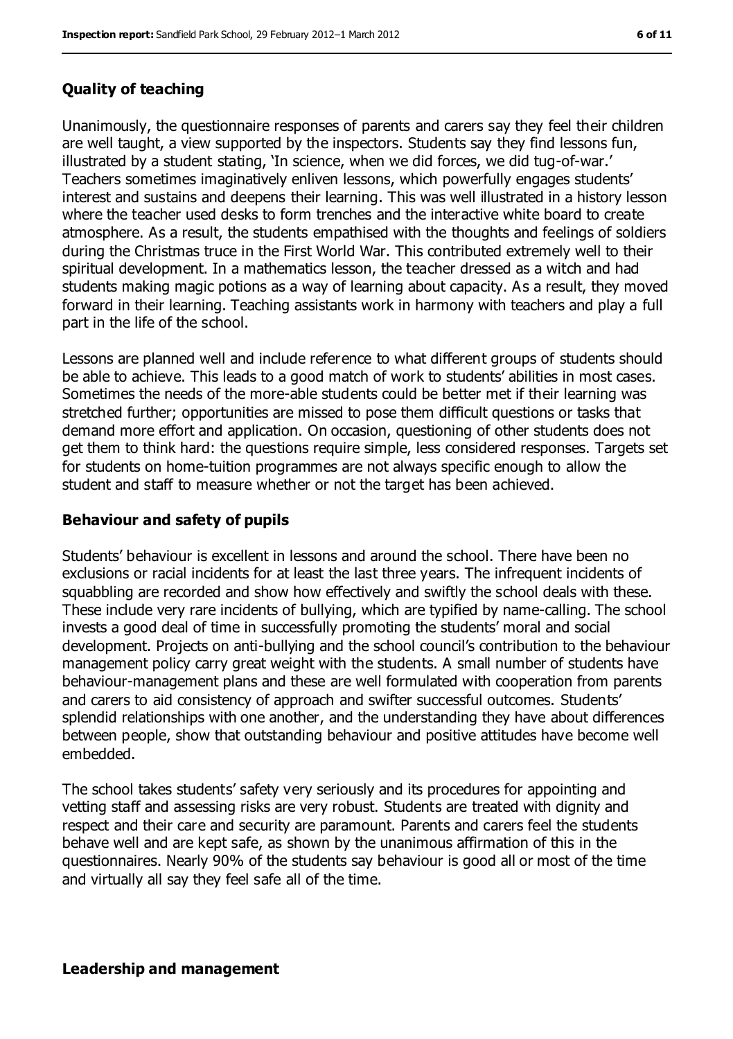#### **Quality of teaching**

Unanimously, the questionnaire responses of parents and carers say they feel their children are well taught, a view supported by the inspectors. Students say they find lessons fun, illustrated by a student stating, 'In science, when we did forces, we did tug-of-war.' Teachers sometimes imaginatively enliven lessons, which powerfully engages students' interest and sustains and deepens their learning. This was well illustrated in a history lesson where the teacher used desks to form trenches and the interactive white board to create atmosphere. As a result, the students empathised with the thoughts and feelings of soldiers during the Christmas truce in the First World War. This contributed extremely well to their spiritual development. In a mathematics lesson, the teacher dressed as a witch and had students making magic potions as a way of learning about capacity. As a result, they moved forward in their learning. Teaching assistants work in harmony with teachers and play a full part in the life of the school.

Lessons are planned well and include reference to what different groups of students should be able to achieve. This leads to a good match of work to students' abilities in most cases. Sometimes the needs of the more-able students could be better met if their learning was stretched further; opportunities are missed to pose them difficult questions or tasks that demand more effort and application. On occasion, questioning of other students does not get them to think hard: the questions require simple, less considered responses. Targets set for students on home-tuition programmes are not always specific enough to allow the student and staff to measure whether or not the target has been achieved.

#### **Behaviour and safety of pupils**

Students' behaviour is excellent in lessons and around the school. There have been no exclusions or racial incidents for at least the last three years. The infrequent incidents of squabbling are recorded and show how effectively and swiftly the school deals with these. These include very rare incidents of bullying, which are typified by name-calling. The school invests a good deal of time in successfully promoting the students' moral and social development. Projects on anti-bullying and the school council's contribution to the behaviour management policy carry great weight with the students. A small number of students have behaviour-management plans and these are well formulated with cooperation from parents and carers to aid consistency of approach and swifter successful outcomes. Students' splendid relationships with one another, and the understanding they have about differences between people, show that outstanding behaviour and positive attitudes have become well embedded.

The school takes students' safety very seriously and its procedures for appointing and vetting staff and assessing risks are very robust. Students are treated with dignity and respect and their care and security are paramount. Parents and carers feel the students behave well and are kept safe, as shown by the unanimous affirmation of this in the questionnaires. Nearly 90% of the students say behaviour is good all or most of the time and virtually all say they feel safe all of the time.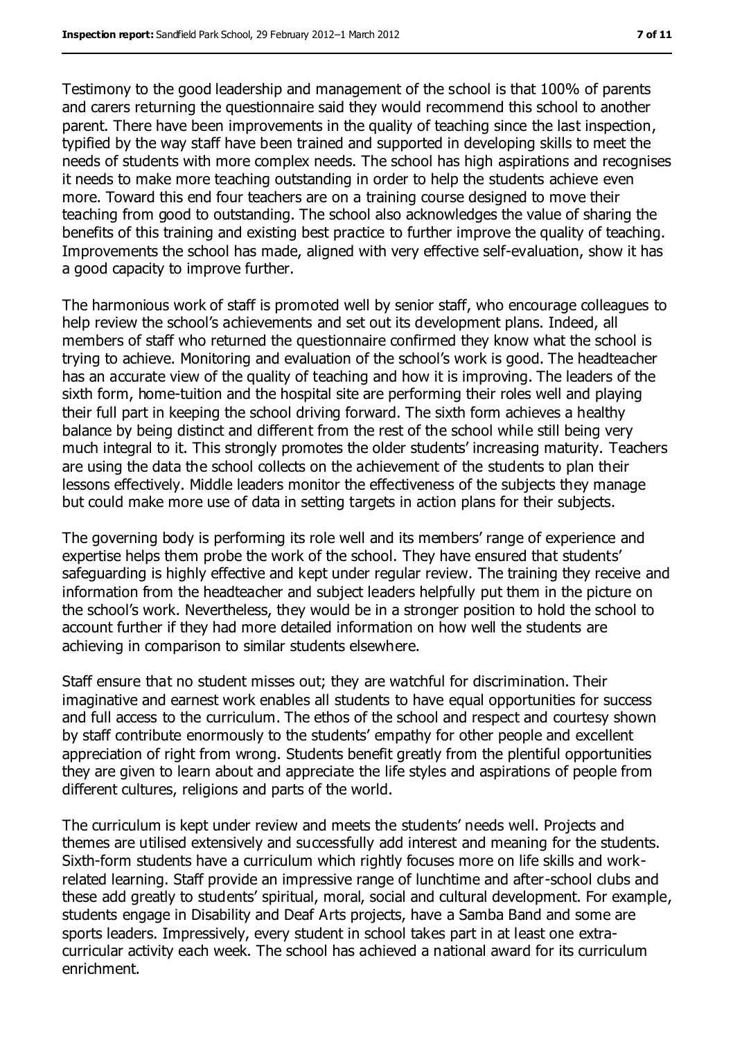Testimony to the good leadership and management of the school is that 100% of parents and carers returning the questionnaire said they would recommend this school to another parent. There have been improvements in the quality of teaching since the last inspection, typified by the way staff have been trained and supported in developing skills to meet the needs of students with more complex needs. The school has high aspirations and recognises it needs to make more teaching outstanding in order to help the students achieve even more. Toward this end four teachers are on a training course designed to move their teaching from good to outstanding. The school also acknowledges the value of sharing the benefits of this training and existing best practice to further improve the quality of teaching. Improvements the school has made, aligned with very effective self-evaluation, show it has a good capacity to improve further.

The harmonious work of staff is promoted well by senior staff, who encourage colleagues to help review the school's achievements and set out its development plans. Indeed, all members of staff who returned the questionnaire confirmed they know what the school is trying to achieve. Monitoring and evaluation of the school's work is good. The headteacher has an accurate view of the quality of teaching and how it is improving. The leaders of the sixth form, home-tuition and the hospital site are performing their roles well and playing their full part in keeping the school driving forward. The sixth form achieves a healthy balance by being distinct and different from the rest of the school while still being very much integral to it. This strongly promotes the older students' increasing maturity. Teachers are using the data the school collects on the achievement of the students to plan their lessons effectively. Middle leaders monitor the effectiveness of the subjects they manage but could make more use of data in setting targets in action plans for their subjects.

The governing body is performing its role well and its members' range of experience and expertise helps them probe the work of the school. They have ensured that students' safeguarding is highly effective and kept under regular review. The training they receive and information from the headteacher and subject leaders helpfully put them in the picture on the school's work. Nevertheless, they would be in a stronger position to hold the school to account further if they had more detailed information on how well the students are achieving in comparison to similar students elsewhere.

Staff ensure that no student misses out; they are watchful for discrimination. Their imaginative and earnest work enables all students to have equal opportunities for success and full access to the curriculum. The ethos of the school and respect and courtesy shown by staff contribute enormously to the students' empathy for other people and excellent appreciation of right from wrong. Students benefit greatly from the plentiful opportunities they are given to learn about and appreciate the life styles and aspirations of people from different cultures, religions and parts of the world.

The curriculum is kept under review and meets the students' needs well. Projects and themes are utilised extensively and successfully add interest and meaning for the students. Sixth-form students have a curriculum which rightly focuses more on life skills and workrelated learning. Staff provide an impressive range of lunchtime and after-school clubs and these add greatly to students' spiritual, moral, social and cultural development. For example, students engage in Disability and Deaf Arts projects, have a Samba Band and some are sports leaders. Impressively, every student in school takes part in at least one extracurricular activity each week. The school has achieved a national award for its curriculum enrichment.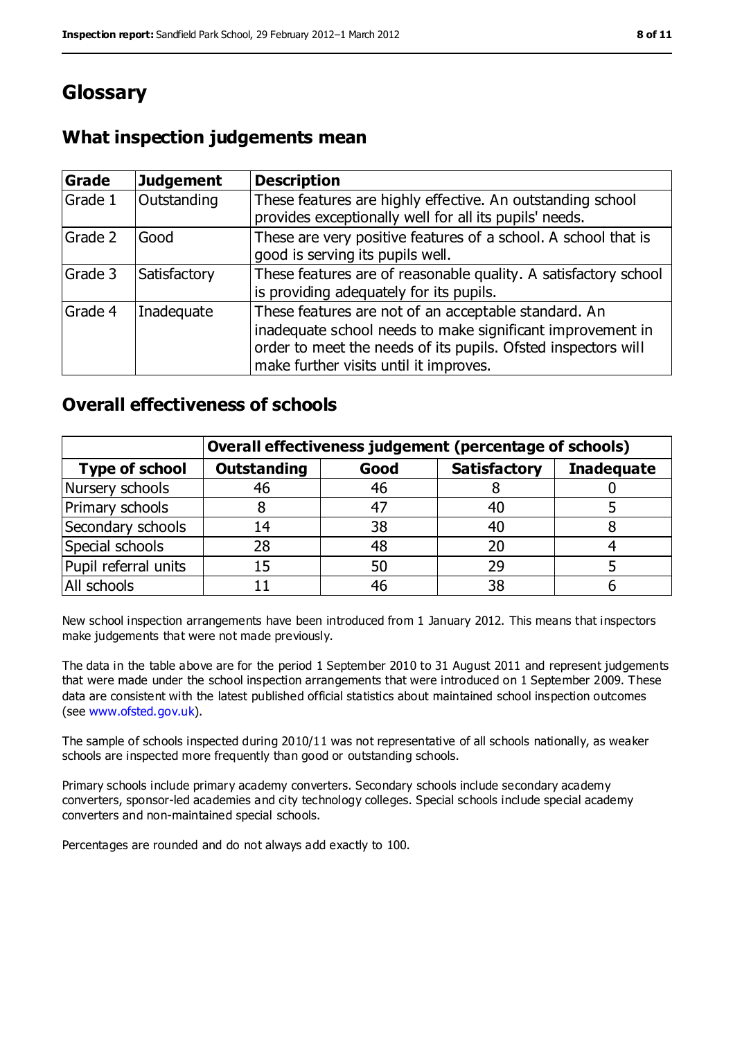# **Glossary**

## **What inspection judgements mean**

| <b>Grade</b> | <b>Judgement</b> | <b>Description</b>                                                                                                                                                                                                            |
|--------------|------------------|-------------------------------------------------------------------------------------------------------------------------------------------------------------------------------------------------------------------------------|
| Grade 1      | Outstanding      | These features are highly effective. An outstanding school<br>provides exceptionally well for all its pupils' needs.                                                                                                          |
| Grade 2      | Good             | These are very positive features of a school. A school that is<br>good is serving its pupils well.                                                                                                                            |
| Grade 3      | Satisfactory     | These features are of reasonable quality. A satisfactory school<br>is providing adequately for its pupils.                                                                                                                    |
| Grade 4      | Inadequate       | These features are not of an acceptable standard. An<br>inadequate school needs to make significant improvement in<br>order to meet the needs of its pupils. Ofsted inspectors will<br>make further visits until it improves. |

### **Overall effectiveness of schools**

|                       | Overall effectiveness judgement (percentage of schools) |      |                     |                   |
|-----------------------|---------------------------------------------------------|------|---------------------|-------------------|
| <b>Type of school</b> | <b>Outstanding</b>                                      | Good | <b>Satisfactory</b> | <b>Inadequate</b> |
| Nursery schools       | 46                                                      | 46   |                     |                   |
| Primary schools       |                                                         | 47   | 40                  |                   |
| Secondary schools     | 14                                                      | 38   | 40                  |                   |
| Special schools       | 28                                                      | 48   | 20                  |                   |
| Pupil referral units  | 15                                                      | 50   | 29                  |                   |
| All schools           |                                                         | 46   | 38                  |                   |

New school inspection arrangements have been introduced from 1 January 2012. This means that inspectors make judgements that were not made previously.

The data in the table above are for the period 1 September 2010 to 31 August 2011 and represent judgements that were made under the school inspection arrangements that were introduced on 1 September 2009. These data are consistent with the latest published official statistics about maintained school inspection outcomes (see [www.ofsted.gov.uk\)](file:///C:/Users/Jim%20Bennetts/Documents/CfBT/Spring%202012/Reading/Stanfield%20Park/www.ofsted.gov.uk).

The sample of schools inspected during 2010/11 was not representative of all schools nationally, as weaker schools are inspected more frequently than good or outstanding schools.

Primary schools include primary academy converters. Secondary schools include secondary academy converters, sponsor-led academies and city technology colleges. Special schools include special academy converters and non-maintained special schools.

Percentages are rounded and do not always add exactly to 100.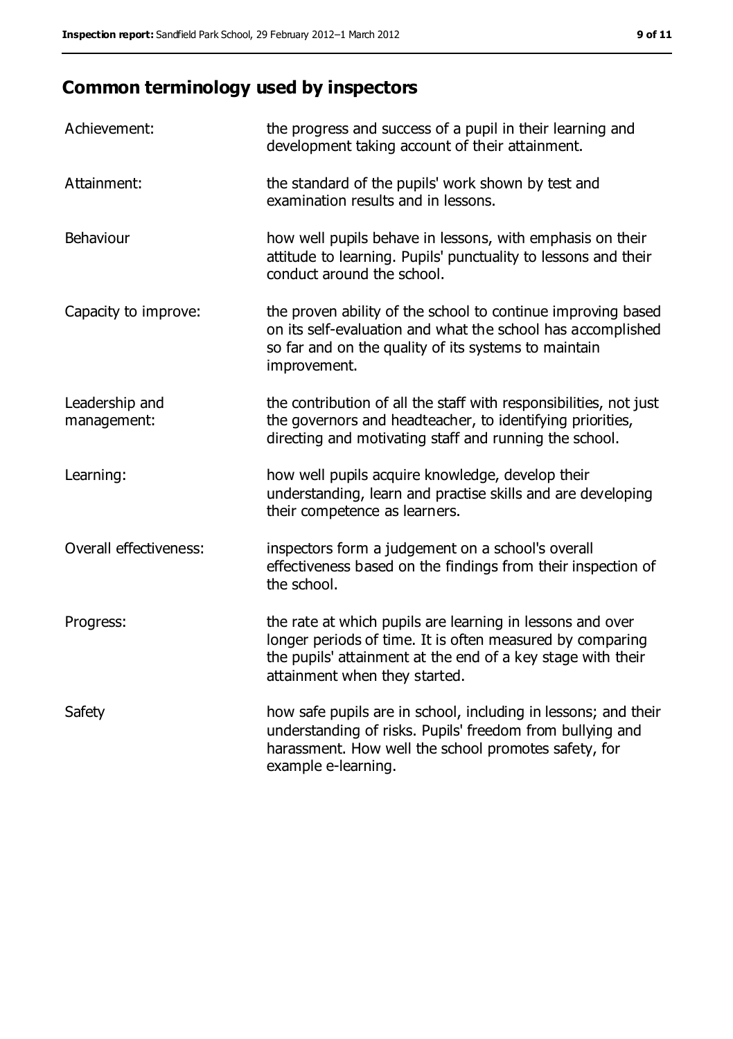# **Common terminology used by inspectors**

| Achievement:                  | the progress and success of a pupil in their learning and<br>development taking account of their attainment.                                                                                                           |
|-------------------------------|------------------------------------------------------------------------------------------------------------------------------------------------------------------------------------------------------------------------|
| Attainment:                   | the standard of the pupils' work shown by test and<br>examination results and in lessons.                                                                                                                              |
| Behaviour                     | how well pupils behave in lessons, with emphasis on their<br>attitude to learning. Pupils' punctuality to lessons and their<br>conduct around the school.                                                              |
| Capacity to improve:          | the proven ability of the school to continue improving based<br>on its self-evaluation and what the school has accomplished<br>so far and on the quality of its systems to maintain<br>improvement.                    |
| Leadership and<br>management: | the contribution of all the staff with responsibilities, not just<br>the governors and headteacher, to identifying priorities,<br>directing and motivating staff and running the school.                               |
| Learning:                     | how well pupils acquire knowledge, develop their<br>understanding, learn and practise skills and are developing<br>their competence as learners.                                                                       |
| Overall effectiveness:        | inspectors form a judgement on a school's overall<br>effectiveness based on the findings from their inspection of<br>the school.                                                                                       |
| Progress:                     | the rate at which pupils are learning in lessons and over<br>longer periods of time. It is often measured by comparing<br>the pupils' attainment at the end of a key stage with their<br>attainment when they started. |
| Safety                        | how safe pupils are in school, including in lessons; and their<br>understanding of risks. Pupils' freedom from bullying and<br>harassment. How well the school promotes safety, for<br>example e-learning.             |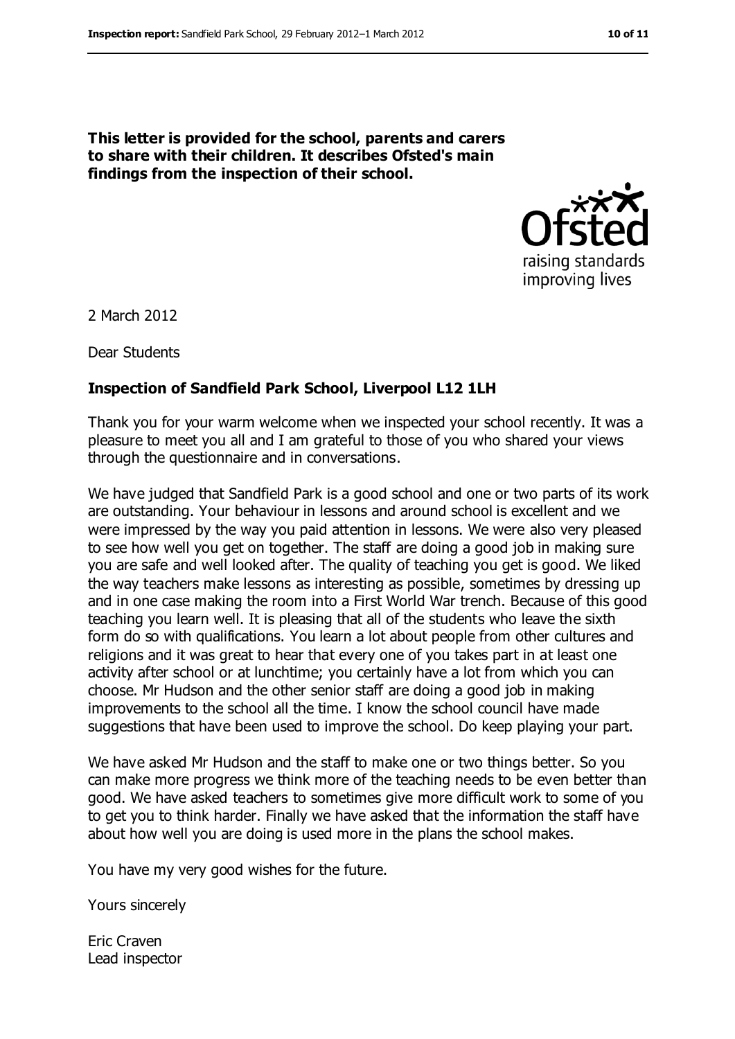**This letter is provided for the school, parents and carers to share with their children. It describes Ofsted's main findings from the inspection of their school.**



2 March 2012

Dear Students

#### **Inspection of Sandfield Park School, Liverpool L12 1LH**

Thank you for your warm welcome when we inspected your school recently. It was a pleasure to meet you all and I am grateful to those of you who shared your views through the questionnaire and in conversations.

We have judged that Sandfield Park is a good school and one or two parts of its work are outstanding. Your behaviour in lessons and around school is excellent and we were impressed by the way you paid attention in lessons. We were also very pleased to see how well you get on together. The staff are doing a good job in making sure you are safe and well looked after. The quality of teaching you get is good. We liked the way teachers make lessons as interesting as possible, sometimes by dressing up and in one case making the room into a First World War trench. Because of this good teaching you learn well. It is pleasing that all of the students who leave the sixth form do so with qualifications. You learn a lot about people from other cultures and religions and it was great to hear that every one of you takes part in at least one activity after school or at lunchtime; you certainly have a lot from which you can choose. Mr Hudson and the other senior staff are doing a good job in making improvements to the school all the time. I know the school council have made suggestions that have been used to improve the school. Do keep playing your part.

We have asked Mr Hudson and the staff to make one or two things better. So you can make more progress we think more of the teaching needs to be even better than good. We have asked teachers to sometimes give more difficult work to some of you to get you to think harder. Finally we have asked that the information the staff have about how well you are doing is used more in the plans the school makes.

You have my very good wishes for the future.

Yours sincerely

Eric Craven Lead inspector